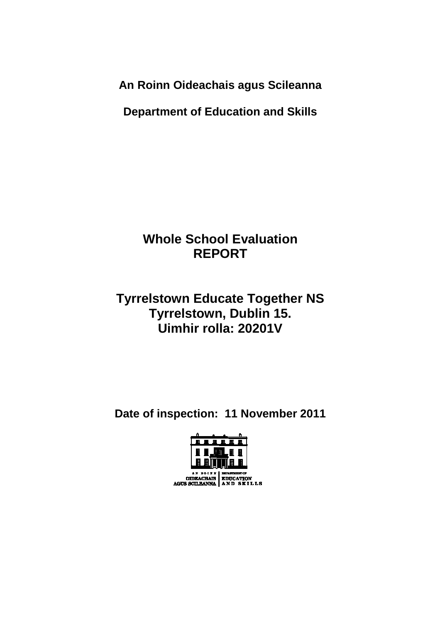**An Roinn Oideachais agus Scileanna** 

**Department of Education and Skills** 

# **Whole School Evaluation REPORT**

## **Tyrrelstown Educate Together NS Tyrrelstown, Dublin 15. Uimhir rolla: 20201V**

**Date of inspection: 11 November 2011** 

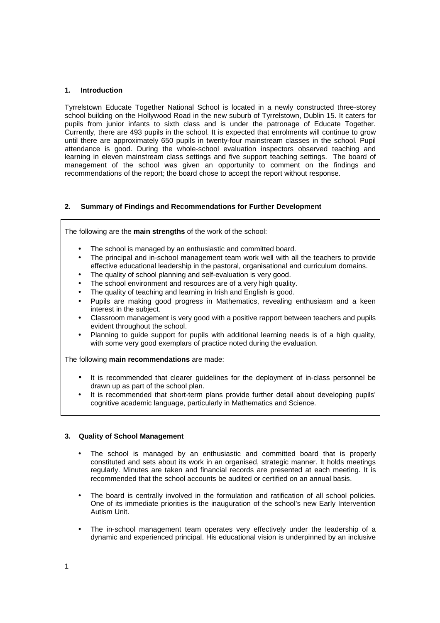#### **1. Introduction**

Tyrrelstown Educate Together National School is located in a newly constructed three-storey school building on the Hollywood Road in the new suburb of Tyrrelstown, Dublin 15. It caters for pupils from junior infants to sixth class and is under the patronage of Educate Together. Currently, there are 493 pupils in the school. It is expected that enrolments will continue to grow until there are approximately 650 pupils in twenty-four mainstream classes in the school. Pupil attendance is good. During the whole-school evaluation inspectors observed teaching and learning in eleven mainstream class settings and five support teaching settings. The board of management of the school was given an opportunity to comment on the findings and recommendations of the report; the board chose to accept the report without response.

## **2. Summary of Findings and Recommendations for Further Development**

The following are the **main strengths** of the work of the school:

- The school is managed by an enthusiastic and committed board.
- The principal and in-school management team work well with all the teachers to provide effective educational leadership in the pastoral, organisational and curriculum domains.
- The quality of school planning and self-evaluation is very good.
- The school environment and resources are of a very high quality.
- The quality of teaching and learning in Irish and English is good.
- Pupils are making good progress in Mathematics, revealing enthusiasm and a keen interest in the subject.
- Classroom management is very good with a positive rapport between teachers and pupils evident throughout the school.
- Planning to guide support for pupils with additional learning needs is of a high quality, with some very good exemplars of practice noted during the evaluation.

The following **main recommendations** are made:

- It is recommended that clearer quidelines for the deployment of in-class personnel be drawn up as part of the school plan.
- It is recommended that short-term plans provide further detail about developing pupils' cognitive academic language, particularly in Mathematics and Science.

#### **3. Quality of School Management**

- The school is managed by an enthusiastic and committed board that is properly constituted and sets about its work in an organised, strategic manner. It holds meetings regularly. Minutes are taken and financial records are presented at each meeting. It is recommended that the school accounts be audited or certified on an annual basis.
- The board is centrally involved in the formulation and ratification of all school policies. One of its immediate priorities is the inauguration of the school's new Early Intervention Autism Unit.
- The in-school management team operates very effectively under the leadership of a dynamic and experienced principal. His educational vision is underpinned by an inclusive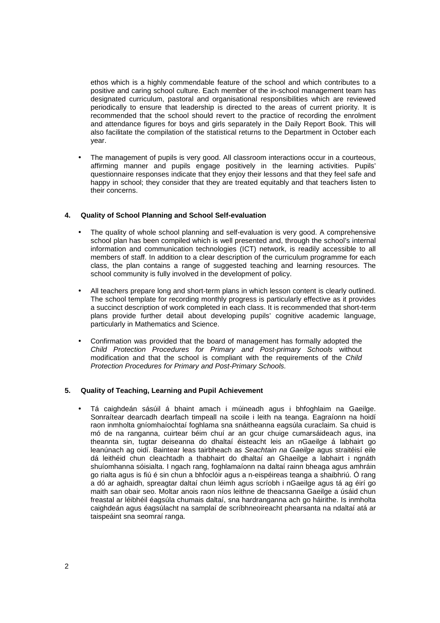ethos which is a highly commendable feature of the school and which contributes to a positive and caring school culture. Each member of the in-school management team has designated curriculum, pastoral and organisational responsibilities which are reviewed periodically to ensure that leadership is directed to the areas of current priority. It is recommended that the school should revert to the practice of recording the enrolment and attendance figures for boys and girls separately in the Daily Report Book. This will also facilitate the compilation of the statistical returns to the Department in October each year.

The management of pupils is very good. All classroom interactions occur in a courteous, affirming manner and pupils engage positively in the learning activities. Pupils' questionnaire responses indicate that they enjoy their lessons and that they feel safe and happy in school; they consider that they are treated equitably and that teachers listen to their concerns.

## **4. Quality of School Planning and School Self-evaluation**

- The quality of whole school planning and self-evaluation is very good. A comprehensive school plan has been compiled which is well presented and, through the school's internal information and communication technologies (ICT) network, is readily accessible to all members of staff. In addition to a clear description of the curriculum programme for each class, the plan contains a range of suggested teaching and learning resources. The school community is fully involved in the development of policy.
- All teachers prepare long and short-term plans in which lesson content is clearly outlined. The school template for recording monthly progress is particularly effective as it provides a succinct description of work completed in each class. It is recommended that short-term plans provide further detail about developing pupils' cognitive academic language, particularly in Mathematics and Science.
- Confirmation was provided that the board of management has formally adopted the Child Protection Procedures for Primary and Post-primary Schools without modification and that the school is compliant with the requirements of the Child Protection Procedures for Primary and Post-Primary Schools.

#### **5. Quality of Teaching, Learning and Pupil Achievement**

• Tá caighdeán sásúil á bhaint amach i múineadh agus i bhfoghlaim na Gaeilge. Sonraítear dearcadh dearfach timpeall na scoile i leith na teanga. Eagraíonn na hoidí raon inmholta gníomhaíochtaí foghlama sna snáitheanna eagsúla curaclaim. Sa chuid is mó de na ranganna, cuirtear béim chuí ar an gcur chuige cumarsáideach agus, ina theannta sin, tugtar deiseanna do dhaltaí éisteacht leis an nGaeilge á labhairt go leanúnach ag oidí. Baintear leas tairbheach as Seachtain na Gaeilge agus straitéisí eile dá leithéid chun cleachtadh a thabhairt do dhaltaí an Ghaeilge a labhairt i ngnáth shuíomhanna sóisialta. I ngach rang, foghlamaíonn na daltaí rainn bheaga agus amhráin go rialta agus is fiú é sin chun a bhfoclóir agus a n-eispéireas teanga a shaibhriú. Ó rang a dó ar aghaidh, spreagtar daltaí chun léimh agus scríobh i nGaeilge agus tá ag éirí go maith san obair seo. Moltar anois raon níos leithne de theacsanna Gaeilge a úsáid chun freastal ar léibhéil éagsúla chumais daltaí, sna hardranganna ach go háirithe. Is inmholta caighdeán agus éagsúlacht na samplaí de scríbhneoireacht phearsanta na ndaltaí atá ar taispeáint sna seomraí ranga.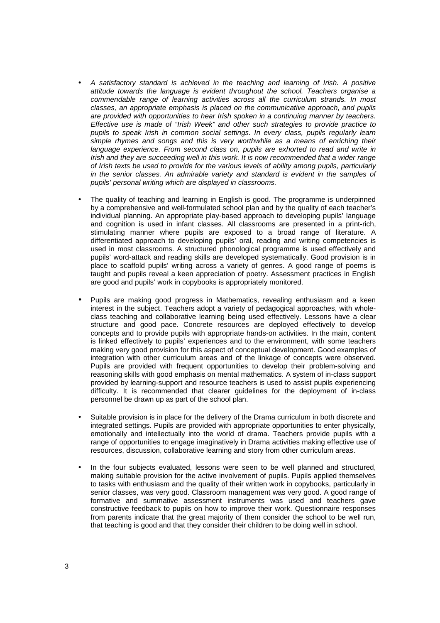- A satisfactory standard is achieved in the teaching and learning of Irish. A positive attitude towards the language is evident throughout the school. Teachers organise a commendable range of learning activities across all the curriculum strands. In most classes, an appropriate emphasis is placed on the communicative approach, and pupils are provided with opportunities to hear Irish spoken in a continuing manner by teachers. Effective use is made of "Irish Week" and other such strategies to provide practice to pupils to speak Irish in common social settings. In every class, pupils regularly learn simple rhymes and songs and this is very worthwhile as a means of enriching their language experience. From second class on, pupils are exhorted to read and write in Irish and they are succeeding well in this work. It is now recommended that a wider range of Irish texts be used to provide for the various levels of ability among pupils, particularly in the senior classes. An admirable variety and standard is evident in the samples of pupils' personal writing which are displayed in classrooms.
- The quality of teaching and learning in English is good. The programme is underpinned by a comprehensive and well-formulated school plan and by the quality of each teacher's individual planning. An appropriate play-based approach to developing pupils' language and cognition is used in infant classes. All classrooms are presented in a print-rich, stimulating manner where pupils are exposed to a broad range of literature. A differentiated approach to developing pupils' oral, reading and writing competencies is used in most classrooms. A structured phonological programme is used effectively and pupils' word-attack and reading skills are developed systematically. Good provision is in place to scaffold pupils' writing across a variety of genres. A good range of poems is taught and pupils reveal a keen appreciation of poetry. Assessment practices in English are good and pupils' work in copybooks is appropriately monitored.
- Pupils are making good progress in Mathematics, revealing enthusiasm and a keen interest in the subject. Teachers adopt a variety of pedagogical approaches, with wholeclass teaching and collaborative learning being used effectively. Lessons have a clear structure and good pace. Concrete resources are deployed effectively to develop concepts and to provide pupils with appropriate hands-on activities. In the main, content is linked effectively to pupils' experiences and to the environment, with some teachers making very good provision for this aspect of conceptual development. Good examples of integration with other curriculum areas and of the linkage of concepts were observed. Pupils are provided with frequent opportunities to develop their problem-solving and reasoning skills with good emphasis on mental mathematics. A system of in-class support provided by learning-support and resource teachers is used to assist pupils experiencing difficulty. It is recommended that clearer guidelines for the deployment of in-class personnel be drawn up as part of the school plan.
- Suitable provision is in place for the delivery of the Drama curriculum in both discrete and integrated settings. Pupils are provided with appropriate opportunities to enter physically, emotionally and intellectually into the world of drama. Teachers provide pupils with a range of opportunities to engage imaginatively in Drama activities making effective use of resources, discussion, collaborative learning and story from other curriculum areas.
- In the four subjects evaluated, lessons were seen to be well planned and structured, making suitable provision for the active involvement of pupils. Pupils applied themselves to tasks with enthusiasm and the quality of their written work in copybooks, particularly in senior classes, was very good. Classroom management was very good. A good range of formative and summative assessment instruments was used and teachers gave constructive feedback to pupils on how to improve their work. Questionnaire responses from parents indicate that the great majority of them consider the school to be well run, that teaching is good and that they consider their children to be doing well in school.